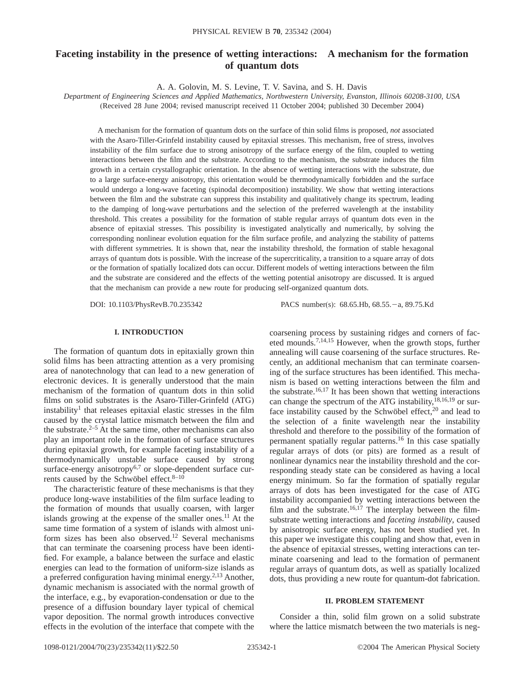# **Faceting instability in the presence of wetting interactions: A mechanism for the formation of quantum dots**

A. A. Golovin, M. S. Levine, T. V. Savina, and S. H. Davis

*Department of Engineering Sciences and Applied Mathematics, Northwestern University, Evanston, Illinois 60208-3100, USA* (Received 28 June 2004; revised manuscript received 11 October 2004; published 30 December 2004)

A mechanism for the formation of quantum dots on the surface of thin solid films is proposed, *not* associated with the Asaro-Tiller-Grinfeld instability caused by epitaxial stresses. This mechanism, free of stress, involves instability of the film surface due to strong anisotropy of the surface energy of the film, coupled to wetting interactions between the film and the substrate. According to the mechanism, the substrate induces the film growth in a certain crystallographic orientation. In the absence of wetting interactions with the substrate, due to a large surface-energy anisotropy, this orientation would be thermodynamically forbidden and the surface would undergo a long-wave faceting (spinodal decomposition) instability. We show that wetting interactions between the film and the substrate can suppress this instability and qualitatively change its spectrum, leading to the damping of long-wave perturbations and the selection of the preferred wavelength at the instability threshold. This creates a possibility for the formation of stable regular arrays of quantum dots even in the absence of epitaxial stresses. This possibility is investigated analytically and numerically, by solving the corresponding nonlinear evolution equation for the film surface profile, and analyzing the stability of patterns with different symmetries. It is shown that, near the instability threshold, the formation of stable hexagonal arrays of quantum dots is possible. With the increase of the supercriticality, a transition to a square array of dots or the formation of spatially localized dots can occur. Different models of wetting interactions between the film and the substrate are considered and the effects of the wetting potential anisotropy are discussed. It is argued that the mechanism can provide a new route for producing self-organized quantum dots.

DOI: 10.1103/PhysRevB.70.235342 PACS number(s): 68.65.Hb, 68.55. - a, 89.75.Kd

#### **I. INTRODUCTION**

The formation of quantum dots in epitaxially grown thin solid films has been attracting attention as a very promising area of nanotechnology that can lead to a new generation of electronic devices. It is generally understood that the main mechanism of the formation of quantum dots in thin solid films on solid substrates is the Asaro-Tiller-Grinfeld (ATG) instability<sup>1</sup> that releases epitaxial elastic stresses in the film caused by the crystal lattice mismatch between the film and the substrate. $2-5$  At the same time, other mechanisms can also play an important role in the formation of surface structures during epitaxial growth, for example faceting instability of a thermodynamically unstable surface caused by strong surface-energy anisotropy $6,7$  or slope-dependent surface currents caused by the Schwöbel effect.<sup>8-10</sup>

The characteristic feature of these mechanisms is that they produce long-wave instabilities of the film surface leading to the formation of mounds that usually coarsen, with larger islands growing at the expense of the smaller ones.<sup>11</sup> At the same time formation of a system of islands with almost uniform sizes has been also observed.<sup>12</sup> Several mechanisms that can terminate the coarsening process have been identified. For example, a balance between the surface and elastic energies can lead to the formation of uniform-size islands as a preferred configuration having minimal energy.<sup>2,13</sup> Another, dynamic mechanism is associated with the normal growth of the interface, e.g., by evaporation-condensation or due to the presence of a diffusion boundary layer typical of chemical vapor deposition. The normal growth introduces convective effects in the evolution of the interface that compete with the coarsening process by sustaining ridges and corners of faceted mounds.7,14,15 However, when the growth stops, further annealing will cause coarsening of the surface structures. Recently, an additional mechanism that can terminate coarsening of the surface structures has been identified. This mechanism is based on wetting interactions between the film and the substrate.<sup>16,17</sup> It has been shown that wetting interactions can change the spectrum of the ATG instability, $^{18,16,19}$  or surface instability caused by the Schwöbel effect, $20$  and lead to the selection of a finite wavelength near the instability threshold and therefore to the possibility of the formation of permanent spatially regular patterns.<sup>16</sup> In this case spatially regular arrays of dots (or pits) are formed as a result of nonlinear dynamics near the instability threshold and the corresponding steady state can be considered as having a local energy minimum. So far the formation of spatially regular arrays of dots has been investigated for the case of ATG instability accompanied by wetting interactions between the film and the substrate.<sup>16,17</sup> The interplay between the filmsubstrate wetting interactions and *faceting instability*, caused by anisotropic surface energy, has not been studied yet. In this paper we investigate this coupling and show that, even in the absence of epitaxial stresses, wetting interactions can terminate coarsening and lead to the formation of permanent regular arrays of quantum dots, as well as spatially localized dots, thus providing a new route for quantum-dot fabrication.

#### **II. PROBLEM STATEMENT**

Consider a thin, solid film grown on a solid substrate where the lattice mismatch between the two materials is neg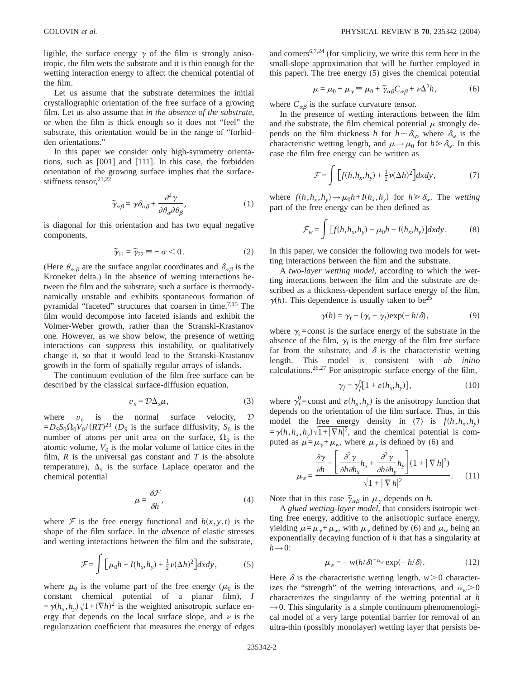ligible, the surface energy  $\gamma$  of the film is strongly anisotropic, the film wets the substrate and it is thin enough for the wetting interaction energy to affect the chemical potential of the film.

Let us assume that the substrate determines the initial crystallographic orientation of the free surface of a growing film. Let us also assume that *in the absence of the substrate*, or when the film is thick enough so it does not "feel" the substrate, this orientation would be in the range of "forbidden orientations."

In this paper we consider only high-symmetry orientations, such as [001] and [111]. In this case, the forbidden orientation of the growing surface implies that the surfacestiffness tensor,  $21,22$ 

$$
\tilde{\gamma}_{\alpha\beta} = \gamma \delta_{\alpha\beta} + \frac{\partial^2 \gamma}{\partial \theta_{\alpha} \partial \theta_{\beta}},
$$
\n(1)

is diagonal for this orientation and has two equal negative components,

$$
\tilde{\gamma}_{11} = \tilde{\gamma}_{22} \equiv -\sigma < 0. \tag{2}
$$

(Here  $\theta_{\alpha,\beta}$  are the surface angular coordinates and  $\delta_{\alpha\beta}$  is the Kroneker delta.) In the absence of wetting interactions between the film and the substrate, such a surface is thermodynamically unstable and exhibits spontaneous formation of pyramidal "faceted" structures that coarsen in time.<sup>7,15</sup> The film would decompose into faceted islands and exhibit the Volmer-Weber growth, rather than the Stranski-Krastanov one. However, as we show below, the presence of wetting interactions can *suppress* this instability, or qualitatively change it, so that it would lead to the Stranski-Krastanov growth in the form of spatially regular arrays of islands.

The continuum evolution of the film free surface can be described by the classical surface-diffusion equation,

$$
v_n = \mathcal{D}\Delta_s\mu,\tag{3}
$$

where  $v_n$  is the normal surface velocity,  $D$  $= D_S S_0 \Omega_0 V_0 / (RT)^{23}$  (*D<sub>S</sub>* is the surface diffusivity,  $S_0$  is the number of atoms per unit area on the surface,  $\Omega_0$  is the atomic volume,  $V_0$  is the molar volume of lattice cites in the film,  $R$  is the universal gas constant and  $T$  is the absolute temperature),  $\Delta_s$  is the surface Laplace operator and the chemical potential

$$
\mu = \frac{\delta \mathcal{F}}{\delta h},\tag{4}
$$

where  $F$  is the free energy functional and  $h(x, y, t)$  is the shape of the film surface. In the *absence* of elastic stresses and wetting interactions between the film and the substrate,

$$
\mathcal{F} = \int \left[ \mu_0 h + I(h_x, h_y) + \frac{1}{2} \nu(\Delta h)^2 \right] dx dy, \tag{5}
$$

where  $\mu_0$  is the volume part of the free energy ( $\mu_0$  is the constant chemical potential of a planar film), *I*  $=\gamma(h_x, h_y)\sqrt{1+(\nabla h)^2}$  is the weighted anisotropic surface energy that depends on the local surface slope, and  $\nu$  is the regularization coefficient that measures the energy of edges and corners6,7,24 (for simplicity, we write this term here in the small-slope approximation that will be further employed in this paper). The free energy (5) gives the chemical potential

$$
\mu = \mu_0 + \mu_\gamma \equiv \mu_0 + \tilde{\gamma}_{\alpha\beta} C_{\alpha\beta} + \nu \Delta^2 h,\tag{6}
$$

where  $C_{\alpha\beta}$  is the surface curvature tensor.

In the presence of wetting interactions between the film and the substrate, the film chemical potential  $\mu$  strongly depends on the film thickness *h* for  $h \sim \delta_w$ , where  $\delta_w$  is the characteristic wetting length, and  $\mu \rightarrow \mu_0$  for  $h \ge \delta_\mu$ . In this case the film free energy can be written as

$$
\mathcal{F} = \int \left[ f(h, h_x, h_y) + \frac{1}{2} \nu (\Delta h)^2 \right] dx dy, \tag{7}
$$

where  $f(h, h_x, h_y) \rightarrow \mu_0 h + I(h_x, h_y)$  for  $h \ge \delta_w$ . The *wetting* part of the free energy can be then defined as

$$
\mathcal{F}_w = \int [f(h, h_x, h_y) - \mu_0 h - I(h_x, h_y)] dxdy.
$$
 (8)

In this paper, we consider the following two models for wetting interactions between the film and the substrate.

A *two-layer wetting model*, according to which the wetting interactions between the film and the substrate are described as a thickness-dependent surface energy of the film,  $\gamma(h)$ . This dependence is usually taken to be<sup>25</sup>

$$
\gamma(h) = \gamma_f + (\gamma_s - \gamma_f) \exp(-h/\delta), \qquad (9)
$$

where  $\gamma_s$ =const is the surface energy of the substrate in the absence of the film,  $\gamma_f$  is the energy of the film free surface far from the substrate, and  $\delta$  is the characteristic wetting length. This model is consistent with *ab initio* calculations.26,27 For anisotropic surface energy of the film,

$$
\gamma_f = \gamma_f^0 [1 + \varepsilon (h_x, h_y)], \qquad (10)
$$

where  $\gamma_f^0$ =const and  $\varepsilon(h_x, h_y)$  is the anisotropy function that depends on the orientation of the film surface. Thus, in this model the free energy density in (7) is  $f(h, h_x, h_y)$  $= \gamma(h, h_x, h_y) \sqrt{1 + |\nabla h|^2}$ , and the chemical potential is computed as  $\mu = \mu_{\gamma} + \mu_w$ , where  $\mu_{\gamma}$  is defined by (6) and

$$
\mu_{w} = \frac{\frac{\partial \gamma}{\partial h} - \left[ \frac{\partial^2 \gamma}{\partial h \partial h_x} h_x + \frac{\partial^2 \gamma}{\partial h \partial h_y} h_y \right] (1 + |\nabla h|^2)}{\sqrt{1 + |\nabla h|^2}}.
$$
 (11)

Note that in this case  $\tilde{\gamma}_{\alpha\beta}$  in  $\mu_{\gamma}$  depends on *h*.

A *glued wetting-layer model*, that considers isotropic wetting free energy, additive to the anisotropic surface energy, yielding  $\mu = \mu_v + \mu_w$ , with  $\mu_v$  defined by (6) and  $\mu_w$  being an exponentially decaying function of *h* that has a singularity at  $h\rightarrow 0$ :

$$
\mu_w = -w(h/\delta)^{-\alpha_w} \exp(-h/\delta). \tag{12}
$$

Here  $\delta$  is the characteristic wetting length,  $w > 0$  characterizes the "strength" of the wetting interactions, and  $\alpha_w > 0$ characterizes the singularity of the wetting potential at *h*  $\rightarrow$  0. This singularity is a simple continuum phenomenological model of a very large potential barrier for removal of an ultra-thin (possibly monolayer) wetting layer that persists be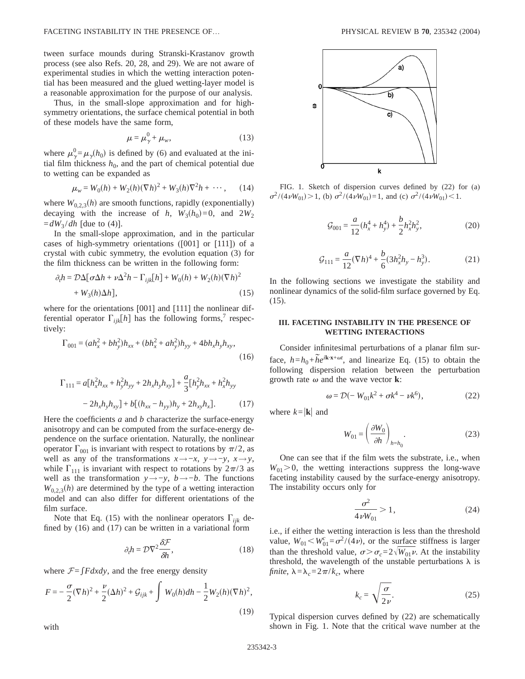tween surface mounds during Stranski-Krastanov growth process (see also Refs. 20, 28, and 29). We are not aware of experimental studies in which the wetting interaction potential has been measured and the glued wetting-layer model is a reasonable approximation for the purpose of our analysis.

Thus, in the small-slope approximation and for highsymmetry orientations, the surface chemical potential in both of these models have the same form,

$$
\mu = \mu_{\gamma}^0 + \mu_w, \qquad (13)
$$

where  $\mu_{\gamma}^{0} = \mu_{\gamma}(h_0)$  is defined by (6) and evaluated at the initial film thickness  $h_0$ , and the part of chemical potential due to wetting can be expanded as

$$
\mu_w = W_0(h) + W_2(h)(\nabla h)^2 + W_3(h)\nabla^2 h + \cdots, \qquad (14)
$$

where  $W_{0,2,3}(h)$  are smooth functions, rapidly (exponentially) decaying with the increase of *h*,  $W_3(h_0)=0$ , and  $2W_2$  $=dW_3/dh$  [due to (4)].

In the small-slope approximation, and in the particular cases of high-symmetry orientations ([001] or [111]) of a crystal with cubic symmetry, the evolution equation (3) for the film thickness can be written in the following form:

$$
\partial_t h = \mathcal{D}\Delta[\sigma\Delta h + \nu\Delta^2 h - \Gamma_{ijk}[h] + W_0(h) + W_2(h)(\nabla h)^2
$$
  
+ W<sub>3</sub>(h)\Delta h], (15)

where for the orientations [001] and [111] the nonlinear differential operator  $\Gamma_{ijk}[h]$  has the following forms,<sup>7</sup> respectively:

$$
\Gamma_{001} = (ah_x^2 + bh_y^2)h_{xx} + (bh_x^2 + ah_y^2)h_{yy} + 4bh_xh_yh_{xy},
$$
\n(16)

$$
\Gamma_{111} = a[h_x^2 h_{xx} + h_y^2 h_{yy} + 2h_x h_y h_{xy}] + \frac{a}{3} [h_y^2 h_{xx} + h_x^2 h_{yy} - 2h_x h_y h_{xy}] + b[(h_{xx} - h_{yy})h_y + 2h_{xy}h_x].
$$
\n(17)

Here the coefficients  $a$  and  $b$  characterize the surface-energy anisotropy and can be computed from the surface-energy dependence on the surface orientation. Naturally, the nonlinear operator  $\Gamma_{001}$  is invariant with respect to rotations by  $\pi/2$ , as well as any of the transformations  $x \rightarrow -x$ ,  $y \rightarrow -y$ ,  $x \rightarrow y$ , while  $\Gamma_{111}$  is invariant with respect to rotations by  $2\pi/3$  as well as the transformation  $y \rightarrow -y$ ,  $b \rightarrow -b$ . The functions  $W_{0,2,3}(h)$  are determined by the type of a wetting interaction model and can also differ for different orientations of the film surface.

Note that Eq. (15) with the nonlinear operators  $\Gamma_{ijk}$  defined by (16) and (17) can be written in a variational form

$$
\partial_t h = \mathcal{D}\nabla^2 \frac{\delta \mathcal{F}}{\delta h},\tag{18}
$$

where  $F = \int F dx dy$ , and the free energy density

$$
F = -\frac{\sigma}{2}(\nabla h)^2 + \frac{\nu}{2}(\Delta h)^2 + \mathcal{G}_{ijk} + \int W_0(h)dh - \frac{1}{2}W_2(h)(\nabla h)^2,
$$
\n(19)



FIG. 1. Sketch of dispersion curves defined by (22) for (a)  $\sigma^2/(4\nu W_{01}) > 1$ , (b)  $\sigma^2/(4\nu W_{01}) = 1$ , and (c)  $\sigma^2/(4\nu W_{01}) < 1$ .

$$
\mathcal{G}_{001} = \frac{a}{12} (h_x^4 + h_y^4) + \frac{b}{2} h_x^2 h_y^2, \tag{20}
$$

$$
\mathcal{G}_{111} = \frac{a}{12} (\nabla h)^4 + \frac{b}{6} (3h_x^2 h_y - h_y^3). \tag{21}
$$

In the following sections we investigate the stability and nonlinear dynamics of the solid-film surface governed by Eq. (15).

# **III. FACETING INSTABILITY IN THE PRESENCE OF WETTING INTERACTIONS**

Consider infinitesimal perturbations of a planar film surface,  $h=h_0+\tilde{h}e^{ik\cdot\mathbf{x}+\omega t}$ , and linearize Eq. (15) to obtain the following dispersion relation between the perturbation growth rate  $\omega$  and the wave vector **k**:

$$
\omega = \mathcal{D}(-W_{01}k^2 + \sigma k^4 - \nu k^6),\tag{22}
$$

where  $k=|\mathbf{k}|$  and

$$
W_{01} = \left(\frac{\partial W_0}{\partial h}\right)_{h=h_0}.\tag{23}
$$

One can see that if the film wets the substrate, i.e., when  $W_{01} > 0$ , the wetting interactions suppress the long-wave faceting instability caused by the surface-energy anisotropy. The instability occurs only for

$$
\frac{\sigma^2}{4\nu W_{01}} > 1,\tag{24}
$$

i.e., if either the wetting interaction is less than the threshold value,  $W_{01} < W_{01}^c = \sigma^2 / (4\nu)$ , or the surface stiffness is larger than the threshold value,  $\sigma > \sigma_c = 2\sqrt{W_{01} \nu}$ . At the instability threshold, the wavelength of the unstable perturbations  $\lambda$  is *finite*,  $\lambda = \lambda_c = 2\pi/k_c$ , where

$$
k_c = \sqrt{\frac{\sigma}{2\nu}}.\tag{25}
$$

Typical dispersion curves defined by (22) are schematically shown in Fig. 1. Note that the critical wave number at the

with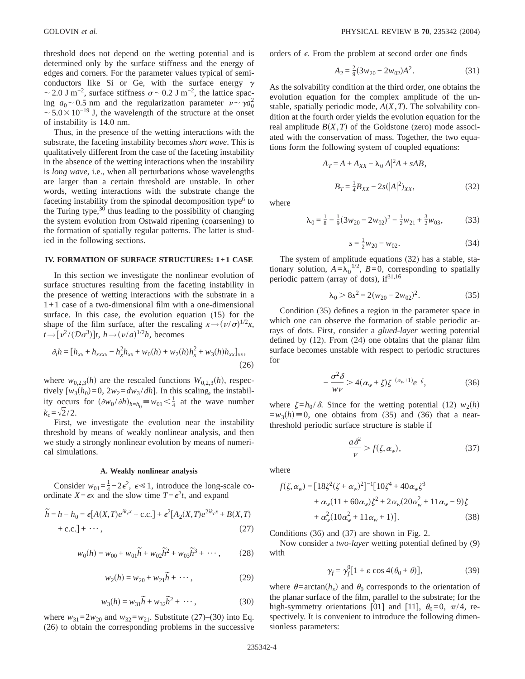threshold does not depend on the wetting potential and is determined only by the surface stiffness and the energy of edges and corners. For the parameter values typical of semiconductors like Si or Ge, with the surface energy  $\gamma$  $\sim$  2.0 J m<sup>-2</sup>, surface stiffness  $\sigma$  ~ 0.2 J m<sup>-2</sup>, the lattice spacing  $a_0 \sim 0.5$  nm and the regularization parameter  $v \sim \gamma a_0^2$  $\sim$  5.0  $\times$  10<sup>-19</sup> J, the wavelength of the structure at the onset of instability is 14.0 nm.

Thus, in the presence of the wetting interactions with the substrate, the faceting instability becomes *short wave*. This is qualitatively different from the case of the faceting instability in the absence of the wetting interactions when the instability is *long wave*, i.e., when all perturbations whose wavelengths are larger than a certain threshold are unstable. In other words, wetting interactions with the substrate change the faceting instability from the spinodal decomposition type<sup>6</sup> to the Turing type, $30$  thus leading to the possibility of changing the system evolution from Ostwald ripening (coarsening) to the formation of spatially regular patterns. The latter is studied in the following sections.

## **IV. FORMATION OF SURFACE STRUCTURES: 1+1 CASE**

In this section we investigate the nonlinear evolution of surface structures resulting from the faceting instability in the presence of wetting interactions with the substrate in a 1+1 case of a two-dimensional film with a one-dimensional surface. In this case, the evolution equation (15) for the shape of the film surface, after the rescaling  $x \rightarrow (\nu/\sigma)^{1/2}x$ ,  $t \rightarrow [\nu^2 / (\mathcal{D}\sigma^3)]t$ ,  $h \rightarrow (\nu/a)^{1/2}h$ , becomes

$$
\partial_t h = [h_{xx} + h_{xxxx} - h_x^2 h_{xx} + w_0(h) + w_2(h)h_x^2 + w_3(h)h_{xx}]_{xx},
$$
\n(26)

where  $w_{0,2,3}(h)$  are the rescaled functions  $W_{0,2,3}(h)$ , respectively  $[w_3(h_0)=0, 2w_2=dw_3/dh]$ . In this scaling, the instability occurs for  $(\partial w_0 / \partial h)_{h=h_0} \equiv w_{01} < \frac{1}{4}$  at the wave number  $k_c = \sqrt{2}/2$ .

First, we investigate the evolution near the instability threshold by means of weakly nonlinear analysis, and then we study a strongly nonlinear evolution by means of numerical simulations.

# **A. Weakly nonlinear analysis**

Consider  $w_{01} = \frac{1}{4} - 2\epsilon^2$ ,  $\epsilon \ll 1$ , introduce the long-scale coordinate  $X = \epsilon x$  and the slow time  $T = \epsilon^2 t$ , and expand

$$
\widetilde{h} = h - h_0 = \epsilon [A(X,T)e^{ik_c x} + \text{c.c.}] + \epsilon^2 [A_2(X,T)e^{2ik_c x} + B(X,T)]
$$

$$
+ c.c.]+ \cdots, \qquad (27)
$$

$$
w_0(h) = w_{00} + w_{01}\tilde{h} + w_{02}\tilde{h}^2 + w_{03}\tilde{h}^3 + \cdots, \qquad (28)
$$

$$
w_2(h) = w_{20} + w_{21}\tilde{h} + \cdots, \qquad (29)
$$

$$
w_3(h) = w_{31}\tilde{h} + w_{32}\tilde{h}^2 + \cdots, \qquad (30)
$$

where  $w_{31} = 2w_{20}$  and  $w_{32} = w_{21}$ . Substitute (27)–(30) into Eq. (26) to obtain the corresponding problems in the successive orders of  $\epsilon$ . From the problem at second order one finds

$$
A_2 = \frac{2}{9}(3w_{20} - 2w_{02})A^2.
$$
 (31)

As the solvability condition at the third order, one obtains the evolution equation for the complex amplitude of the unstable, spatially periodic mode,  $A(X, T)$ . The solvability condition at the fourth order yields the evolution equation for the real amplitude  $B(X, T)$  of the Goldstone (zero) mode associated with the conservation of mass. Together, the two equations form the following system of coupled equations:

$$
A_T = A + A_{XX} - \lambda_0 |A|^2 A + sAB,
$$
  
\n
$$
B_T = \frac{1}{4} B_{XX} - 2s(|A|^2)_{XX},
$$
\n(32)

where

$$
\lambda_0 = \frac{1}{8} - \frac{1}{9} (3w_{20} - 2w_{02})^2 - \frac{1}{2} w_{21} + \frac{3}{2} w_{03},
$$
 (33)

$$
s = \frac{1}{2}w_{20} - w_{02}.\tag{34}
$$

The system of amplitude equations (32) has a stable, stationary solution,  $A = \lambda_0^{-1/2}$ ,  $B = 0$ , corresponding to spatially periodic pattern (array of dots),  $if^{31,16}$ 

$$
\lambda_0 > 8s^2 = 2(w_{20} - 2w_{02})^2. \tag{35}
$$

Condition (35) defines a region in the parameter space in which one can observe the formation of stable periodic arrays of dots. First, consider a *glued-layer* wetting potential defined by (12). From (24) one obtains that the planar film surface becomes unstable with respect to periodic structures for

$$
-\frac{\sigma^2 \delta}{w\nu} > 4(\alpha_w + \zeta)\zeta^{-(\alpha_w + 1)}e^{-\zeta},\tag{36}
$$

where  $\zeta = h_0 / \delta$ . Since for the wetting potential (12)  $w_2(h)$  $=w_3(h) \equiv 0$ , one obtains from (35) and (36) that a nearthreshold periodic surface structure is stable if

$$
\frac{a\delta^2}{\nu} > f(\zeta, \alpha_w),\tag{37}
$$

where

$$
f(\zeta, \alpha_w) = [18\zeta^2(\zeta + \alpha_w)^2]^{-1} [10\zeta^4 + 40\alpha_w\zeta^3
$$
  
+  $\alpha_w(11 + 60\alpha_w)\zeta^2 + 2\alpha_w(20\alpha_w^2 + 11\alpha_w - 9)\zeta$   
+  $\alpha_w^2(10\alpha_w^2 + 11\alpha_w + 1)].$  (38)

Conditions (36) and (37) are shown in Fig. 2.

Now consider a *two-layer* wetting potential defined by (9) with

$$
\gamma_f = \gamma_f^0 [1 + \varepsilon \cos 4(\theta_0 + \theta)], \qquad (39)
$$

where  $\theta = \arctan(h_x)$  and  $\theta_0$  corresponds to the orientation of the planar surface of the film, parallel to the substrate; for the high-symmetry orientations [01] and [11],  $\theta_0=0$ ,  $\pi/4$ , respectively. It is convenient to introduce the following dimensionless parameters: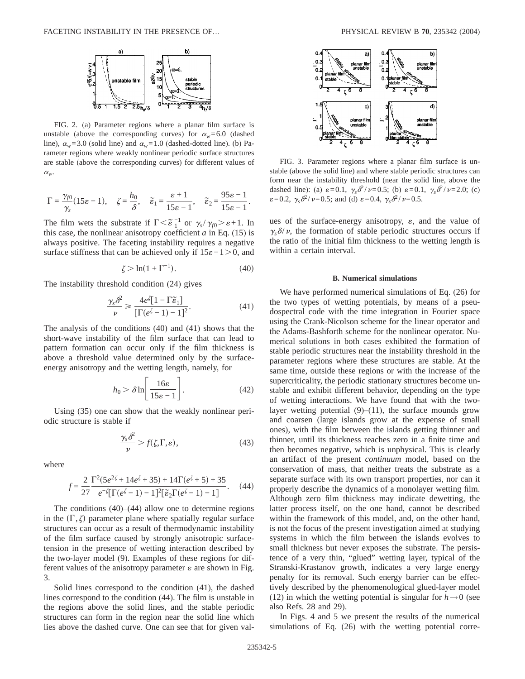

FIG. 2. (a) Parameter regions where a planar film surface is unstable (above the corresponding curves) for  $\alpha_w = 6.0$  (dashed line),  $\alpha_w$ =3.0 (solid line) and  $\alpha_w$ =1.0 (dashed-dotted line). (b) Parameter regions where weakly nonlinear periodic surface structures are stable (above the corresponding curves) for different values of  $\alpha_w$ .

$$
\Gamma = \frac{\gamma_{f0}}{\gamma_s} (15\varepsilon - 1), \quad \zeta = \frac{h_0}{\delta}, \quad \widetilde{\varepsilon}_1 = \frac{\varepsilon + 1}{15\varepsilon - 1}, \quad \widetilde{\varepsilon}_2 = \frac{95\varepsilon - 1}{15\varepsilon - 1}.
$$

The film wets the substrate if  $\Gamma < \tilde{\epsilon}_1^{-1}$  or  $\gamma_s/\gamma_{f0} > \epsilon + 1$ . In this case, the nonlinear anisotropy coefficient  $a$  in Eq. (15) is always positive. The faceting instability requires a negative surface stiffness that can be achieved only if  $15\varepsilon -1.0$ , and

$$
\zeta > \ln(1 + \Gamma^{-1}).\tag{40}
$$

The instability threshold condition (24) gives

$$
\frac{\gamma_s \delta^2}{\nu} \ge \frac{4e^{\zeta} [1 - \Gamma \tilde{\varepsilon}_1]}{[\Gamma(e^{\zeta} - 1) - 1]^2}.
$$
\n(41)

The analysis of the conditions (40) and (41) shows that the short-wave instability of the film surface that can lead to pattern formation can occur only if the film thickness is above a threshold value determined only by the surfaceenergy anisotropy and the wetting length, namely, for

$$
h_0 > \delta \ln \left[ \frac{16\varepsilon}{15\varepsilon - 1} \right].
$$
 (42)

Using (35) one can show that the weakly nonlinear periodic structure is stable if

$$
\frac{\gamma_s \delta^2}{\nu} > f(\zeta, \Gamma, \varepsilon),\tag{43}
$$

where

$$
f = \frac{2}{27} \frac{\Gamma^2 (5e^{2\zeta} + 14e^{\zeta} + 35) + 14\Gamma(e^{\zeta} + 5) + 35}{e^{-\zeta} [\Gamma(e^{\zeta} - 1) - 1]^2 [\tilde{\epsilon}_2 \Gamma(e^{\zeta} - 1) - 1]}.
$$
 (44)

The conditions  $(40)$ – $(44)$  allow one to determine regions in the  $(\Gamma, \zeta)$  parameter plane where spatially regular surface structures can occur as a result of thermodynamic instability of the film surface caused by strongly anisotropic surfacetension in the presence of wetting interaction described by the two-layer model (9). Examples of these regions for different values of the anisotropy parameter  $\varepsilon$  are shown in Fig. 3.

Solid lines correspond to the condition (41), the dashed lines correspond to the condition (44). The film is unstable in the regions above the solid lines, and the stable periodic structures can form in the region near the solid line which lies above the dashed curve. One can see that for given val-



FIG. 3. Parameter regions where a planar film surface is unstable (above the solid line) and where stable periodic structures can form near the instability threshold (near the solid line, above the dashed line): (a)  $\varepsilon = 0.1$ ,  $\gamma_s \delta^2 / \nu = 0.5$ ; (b)  $\varepsilon = 0.1$ ,  $\gamma_s \delta^2 / \nu = 2.0$ ; (c)  $\varepsilon = 0.2$ ,  $\gamma_s \delta^2 / \nu = 0.5$ ; and (d)  $\varepsilon = 0.4$ ,  $\gamma_s \delta^2 / \nu = 0.5$ .

ues of the surface-energy anisotropy,  $\varepsilon$ , and the value of  $\gamma_s \delta/\nu$ , the formation of stable periodic structures occurs if the ratio of the initial film thickness to the wetting length is within a certain interval.

#### **B. Numerical simulations**

We have performed numerical simulations of Eq. (26) for the two types of wetting potentials, by means of a pseudospectral code with the time integration in Fourier space using the Crank-Nicolson scheme for the linear operator and the Adams-Bashforth scheme for the nonlinear operator. Numerical solutions in both cases exhibited the formation of stable periodic structures near the instability threshold in the parameter regions where these structures are stable. At the same time, outside these regions or with the increase of the supercriticality, the periodic stationary structures become unstable and exhibit different behavior, depending on the type of wetting interactions. We have found that with the twolayer wetting potential  $(9)$ – $(11)$ , the surface mounds grow and coarsen (large islands grow at the expense of small ones), with the film between the islands getting thinner and thinner, until its thickness reaches zero in a finite time and then becomes negative, which is unphysical. This is clearly an artifact of the present *continuum* model, based on the conservation of mass, that neither treats the substrate as a separate surface with its own transport properties, nor can it properly describe the dynamics of a monolayer wetting film. Although zero film thickness may indicate dewetting, the latter process itself, on the one hand, cannot be described within the framework of this model, and, on the other hand, is not the focus of the present investigation aimed at studying systems in which the film between the islands evolves to small thickness but never exposes the substrate. The persistence of a very thin, "glued" wetting layer, typical of the Stranski-Krastanov growth, indicates a very large energy penalty for its removal. Such energy barrier can be effectively described by the phenomenological glued-layer model (12) in which the wetting potential is singular for  $h \rightarrow 0$  (see also Refs. 28 and 29).

In Figs. 4 and 5 we present the results of the numerical simulations of Eq. (26) with the wetting potential corre-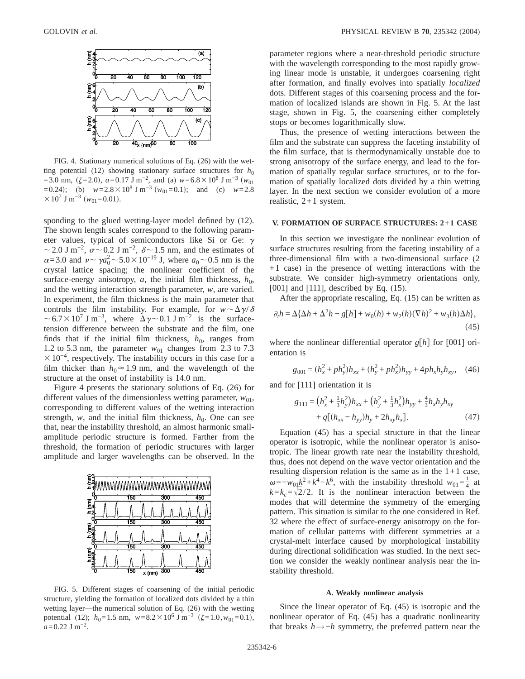

FIG. 4. Stationary numerical solutions of Eq. (26) with the wetting potential (12) showing stationary surface structures for  $h_0$  $=$  3.0 nm, ( $\zeta$ =2.0), *a*=0.17 J m<sup>-2</sup>, and (a) *w*=6.8 × 10<sup>8</sup> J m<sup>-3</sup> (*w*<sub>01</sub>) =0.24); (b)  $w=2.8\times10^8$  J m<sup>-3</sup> ( $w_{01}=0.1$ ); and (c)  $w=2.8$  $\times 10^7$  J m<sup>-3</sup> ( $w_{01}$ =0.01).

sponding to the glued wetting-layer model defined by (12). The shown length scales correspond to the following parameter values, typical of semiconductors like Si or Ge:  $\gamma$  $\sim$  2.0 J m<sup>-2</sup>,  $\sigma$  ~ 0.2 J m<sup>-2</sup>,  $\delta$  ~ 1.5 nm, and the estimates of  $\alpha$ =3.0 and  $\nu \sim \gamma a_0^2 \sim 5.0 \times 10^{-19}$  J, where  $a_0 \sim 0.5$  nm is the crystal lattice spacing; the nonlinear coefficient of the surface-energy anisotropy,  $a$ , the initial film thickness,  $h_0$ , and the wetting interaction strength parameter, *w*, are varied. In experiment, the film thickness is the main parameter that controls the film instability. For example, for  $w \sim \Delta \gamma/\delta$  $\sim6.7\times10^7$  J m<sup>-3</sup>, where  $\Delta\gamma\sim0.1$  J m<sup>-2</sup> is the surfacetension difference between the substrate and the film, one finds that if the initial film thickness,  $h_0$ , ranges from 1.2 to 5.3 nm, the parameter  $w_{01}$  changes from 2.3 to 7.3  $\times$ 10<sup>-4</sup>, respectively. The instability occurs in this case for a film thicker than  $h_0 \approx 1.9$  nm, and the wavelength of the structure at the onset of instability is 14.0 nm.

Figure 4 presents the stationary solutions of Eq. (26) for different values of the dimensionless wetting parameter,  $w_{01}$ , corresponding to different values of the wetting interaction strength,  $w$ , and the initial film thickness,  $h_0$ . One can see that, near the instability threshold, an almost harmonic smallamplitude periodic structure is formed. Farther from the threshold, the formation of periodic structures with larger amplitude and larger wavelengths can be observed. In the



FIG. 5. Different stages of coarsening of the initial periodic structure, yielding the formation of localized dots divided by a thin wetting layer—the numerical solution of Eq. (26) with the wetting potential (12);  $h_0=1.5$  nm,  $w=8.2\times10^6$  J m<sup>-3</sup> ( $\zeta=1.0$ ,  $w_{01}=0.1$ ),  $a=0.22$  J m<sup>-2</sup>.

parameter regions where a near-threshold periodic structure with the wavelength corresponding to the most rapidly growing linear mode is unstable, it undergoes coarsening right after formation, and finally evolves into spatially *localized* dots. Different stages of this coarsening process and the formation of localized islands are shown in Fig. 5. At the last stage, shown in Fig. 5, the coarsening either completely stops or becomes logarithmically slow.

Thus, the presence of wetting interactions between the film and the substrate can suppress the faceting instability of the film surface, that is thermodynamically unstable due to strong anisotropy of the surface energy, and lead to the formation of spatially regular surface structures, or to the formation of spatially localized dots divided by a thin wetting layer. In the next section we consider evolution of a more realistic,  $2+1$  system.

#### **V. FORMATION OF SURFACE STRUCTURES: 2+1 CASE**

In this section we investigate the nonlinear evolution of surface structures resulting from the faceting instability of a three-dimensional film with a two-dimensional surface (2 +1 case) in the presence of wetting interactions with the substrate. We consider high-symmetry orientations only, [001] and [111], described by Eq. (15).

After the appropriate rescaling, Eq. (15) can be written as

$$
\partial_t h = \Delta \{\Delta h + \Delta^2 h - g[h] + w_0(h) + w_2(h)(\nabla h)^2 + w_3(h)\Delta h\},\tag{45}
$$

where the nonlinear differential operator  $g[h]$  for [001] orientation is

$$
g_{001} = (h_x^2 + ph_y^2)h_{xx} + (h_y^2 + ph_x^2)h_{yy} + 4ph_xh_yh_{xy}, \quad (46)
$$

and for [111] orientation it is

$$
g_{111} = (h_x^2 + \frac{1}{3}h_y^2)h_{xx} + (h_y^2 + \frac{1}{3}h_x^2)h_{yy} + \frac{4}{3}h_xh_yh_{xy} + q[(h_{xx} - h_{yy})h_y + 2h_{xy}h_x].
$$
 (47)

Equation (45) has a special structure in that the linear operator is isotropic, while the nonlinear operator is anisotropic. The linear growth rate near the instability threshold, thus, does not depend on the wave vector orientation and the resulting dispersion relation is the same as in the  $1+1$  case,  $\omega = -w_{0}\frac{k^2 + k^4 - k^6}{\sqrt{1 - k^2}}$ , with the instability threshold  $w_{01} = \frac{1}{4}$  at  $k=k_c=\sqrt{2}/2$ . It is the nonlinear interaction between the modes that will determine the symmetry of the emerging pattern. This situation is similar to the one considered in Ref. 32 where the effect of surface-energy anisotropy on the formation of cellular patterns with different symmetries at a crystal-melt interface caused by morphological instability during directional solidification was studied. In the next section we consider the weakly nonlinear analysis near the instability threshold.

## **A. Weakly nonlinear analysis**

Since the linear operator of Eq. (45) is isotropic and the nonlinear operator of Eq. (45) has a quadratic nonlinearity that breaks *h*→−*h* symmetry, the preferred pattern near the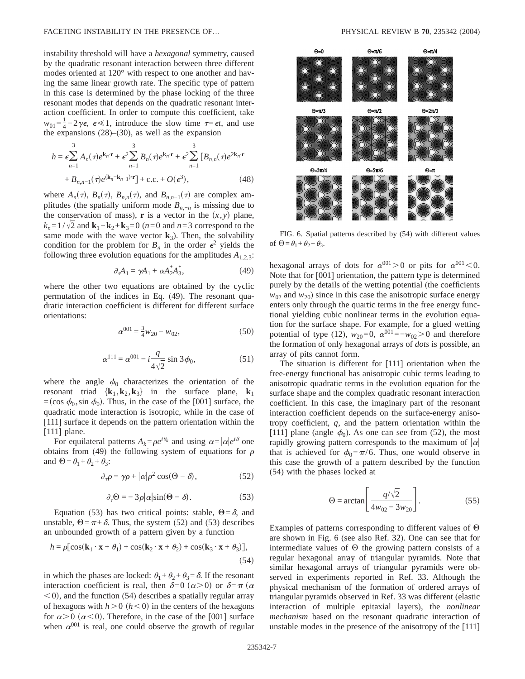instability threshold will have a *hexagonal* symmetry, caused by the quadratic resonant interaction between three different modes oriented at 120° with respect to one another and having the same linear growth rate. The specific type of pattern in this case is determined by the phase locking of the three resonant modes that depends on the quadratic resonant interaction coefficient. In order to compute this coefficient, take  $w_{01} = \frac{1}{4} - 2\gamma \epsilon$ ,  $\epsilon \ll 1$ , introduce the slow time  $\tau = \epsilon t$ , and use the expansions  $(28)$ – $(30)$ , as well as the expansion

$$
h = \epsilon \sum_{n=1}^{3} A_n(\tau) e^{\mathbf{k}_n \cdot \mathbf{r}} + \epsilon^2 \sum_{n=1}^{3} B_n(\tau) e^{\mathbf{k}_n \cdot \mathbf{r}} + \epsilon^2 \sum_{n=1}^{3} [B_{n,n}(\tau) e^{2\mathbf{k}_n \cdot \mathbf{r}} + B_{n,n-1}(\tau) e^{(\mathbf{k}_n - \mathbf{k}_{n-1}) \cdot \mathbf{r}}] + \text{c.c.} + O(\epsilon^3),
$$
\n(48)

where  $A_n(\tau)$ ,  $B_n(\tau)$ ,  $B_{n,n}(\tau)$ , and  $B_{n,n-1}(\tau)$  are complex amplitudes (the spatially uniform mode  $B_{n,-n}$  is missing due to the conservation of mass), **r** is a vector in the  $(x, y)$  plane,  $k_n = 1/\sqrt{2}$  and  $\mathbf{k}_1 + \mathbf{k}_2 + \mathbf{k}_3 = 0$  (*n*=0 and *n*=3 correspond to the same mode with the wave vector  $\mathbf{k}_3$ ). Then, the solvability condition for the problem for  $B_n$  in the order  $\epsilon^2$  yields the following three evolution equations for the amplitudes  $A_{1,2,3}$ :

$$
\partial_{\tau} A_1 = \gamma A_1 + \alpha A_2^* A_3^*,\tag{49}
$$

where the other two equations are obtained by the cyclic permutation of the indices in Eq. (49). The resonant quadratic interaction coefficient is different for different surface orientations:

$$
\alpha^{001} = \frac{3}{4}w_{20} - w_{02},\tag{50}
$$

$$
\alpha^{111} = \alpha^{001} - i \frac{q}{4\sqrt{2}} \sin 3\phi_0, \tag{51}
$$

where the angle  $\phi_0$  characterizes the orientation of the resonant triad  $\{k_1, k_2, k_3\}$  in the surface plane,  $k_1$ =(cos  $\phi_0$ , sin  $\phi_0$ ). Thus, in the case of the [001] surface, the quadratic mode interaction is isotropic, while in the case of [111] surface it depends on the pattern orientation within the [111] plane.

For equilateral patterns  $A_k = \rho e^{i\theta_k}$  and using  $\alpha = |\alpha|e^{i\delta}$  one obtains from (49) the following system of equations for  $\rho$ and  $\Theta = \theta_1 + \theta_2 + \theta_3$ :

$$
\partial_{\tau}\rho = \gamma \rho + |\alpha| \rho^2 \cos(\Theta - \delta), \qquad (52)
$$

$$
\partial_{\tau} \Theta = -3\rho |\alpha| \sin(\Theta - \delta). \tag{53}
$$

Equation (53) has two critical points: stable,  $\Theta = \delta$ , and unstable,  $\Theta = \pi + \delta$ . Thus, the system (52) and (53) describes an unbounded growth of a pattern given by a function

$$
h = \rho \left[ \cos(\mathbf{k}_1 \cdot \mathbf{x} + \theta_1) + \cos(\mathbf{k}_2 \cdot \mathbf{x} + \theta_2) + \cos(\mathbf{k}_3 \cdot \mathbf{x} + \theta_3) \right],\tag{54}
$$

in which the phases are locked:  $\theta_1 + \theta_2 + \theta_3 = \delta$ . If the resonant interaction coefficient is real, then  $\delta=0$   $(\alpha>0)$  or  $\delta=\pi$  ( $\alpha$ )  $\leq$ 0), and the function (54) describes a spatially regular array of hexagons with  $h > 0$  ( $h < 0$ ) in the centers of the hexagons for  $\alpha > 0$  ( $\alpha < 0$ ). Therefore, in the case of the [001] surface when  $\alpha^{001}$  is real, one could observe the growth of regular



FIG. 6. Spatial patterns described by (54) with different values of  $\Theta = \theta_1 + \theta_2 + \theta_3$ .

hexagonal arrays of dots for  $\alpha^{001} > 0$  or pits for  $\alpha^{001} < 0$ . Note that for [001] orientation, the pattern type is determined purely by the details of the wetting potential (the coefficients  $w_{02}$  and  $w_{20}$ ) since in this case the anisotropic surface energy enters only through the quartic terms in the free energy functional yielding cubic nonlinear terms in the evolution equation for the surface shape. For example, for a glued wetting potential of type (12),  $w_{20}=0$ ,  $\alpha^{001}=-w_{02}>0$  and therefore the formation of only hexagonal arrays of *dots* is possible, an array of pits cannot form.

The situation is different for [111] orientation when the free-energy functional has anisotropic cubic terms leading to anisotropic quadratic terms in the evolution equation for the surface shape and the complex quadratic resonant interaction coefficient. In this case, the imaginary part of the resonant interaction coefficient depends on the surface-energy anisotropy coefficient, *q*, and the pattern orientation within the [111] plane (angle  $\phi_0$ ). As one can see from (52), the most rapidly growing pattern corresponds to the maximum of  $|\alpha|$ that is achieved for  $\phi_0 = \pi/6$ . Thus, one would observe in this case the growth of a pattern described by the function (54) with the phases locked at

$$
\Theta = \arctan\left[\frac{q/\sqrt{2}}{4w_{02} - 3w_{20}}\right].\tag{55}
$$

Examples of patterns corresponding to different values of  $\Theta$ are shown in Fig. 6 (see also Ref. 32). One can see that for intermediate values of  $\Theta$  the growing pattern consists of a regular hexagonal array of triangular pyramids. Note that similar hexagonal arrays of triangular pyramids were observed in experiments reported in Ref. 33. Although the physical mechanism of the formation of ordered arrays of triangular pyramids observed in Ref. 33 was different (elastic interaction of multiple epitaxial layers), the *nonlinear mechanism* based on the resonant quadratic interaction of unstable modes in the presence of the anisotropy of the [111]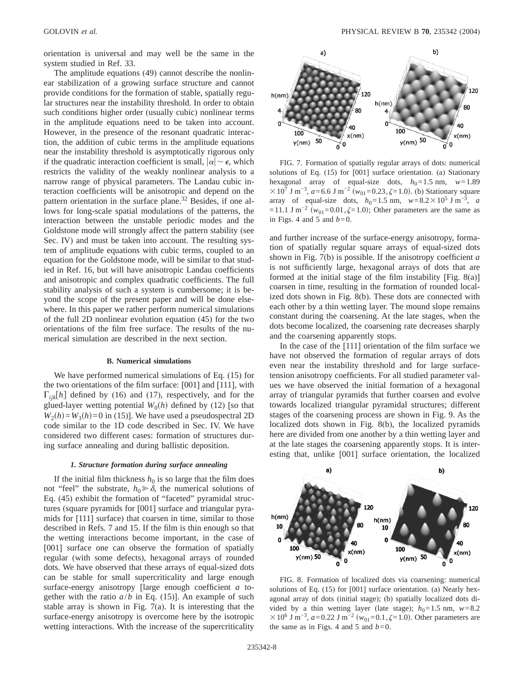orientation is universal and may well be the same in the system studied in Ref. 33.

The amplitude equations (49) cannot describe the nonlinear stabilization of a growing surface structure and cannot provide conditions for the formation of stable, spatially regular structures near the instability threshold. In order to obtain such conditions higher order (usually cubic) nonlinear terms in the amplitude equations need to be taken into account. However, in the presence of the resonant quadratic interaction, the addition of cubic terms in the amplitude equations near the instability threshold is asymptotically rigorous only if the quadratic interaction coefficient is small,  $|\alpha| \sim \epsilon$ , which restricts the validity of the weakly nonlinear analysis to a narrow range of physical parameters. The Landau cubic interaction coefficients will be anisotropic and depend on the pattern orientation in the surface plane.<sup>32</sup> Besides, if one allows for long-scale spatial modulations of the patterns, the interaction between the unstable periodic modes and the Goldstone mode will strongly affect the pattern stability (see Sec. IV) and must be taken into account. The resulting system of amplitude equations with cubic terms, coupled to an equation for the Goldstone mode, will be similar to that studied in Ref. 16, but will have anisotropic Landau coefficients and anisotropic and complex quadratic coefficients. The full stability analysis of such a system is cumbersome; it is beyond the scope of the present paper and will be done elsewhere. In this paper we rather perform numerical simulations of the full 2D nonlinear evolution equation (45) for the two orientations of the film free surface. The results of the numerical simulation are described in the next section.

## **B. Numerical simulations**

We have performed numerical simulations of Eq. (15) for the two orientations of the film surface: [001] and [111], with  $\Gamma_{iik}[h]$  defined by (16) and (17), respectively, and for the glued-layer wetting potential  $W_0(h)$  defined by (12) [so that  $W_2(h) = W_3(h) = 0$  in (15)]. We have used a pseudospectral 2D code similar to the 1D code described in Sec. IV. We have considered two different cases: formation of structures during surface annealing and during ballistic deposition.

## *1. Structure formation during surface annealing*

If the initial film thickness  $h_0$  is so large that the film does not "feel" the substrate,  $h_0 \ge \delta$ , the numerical solutions of Eq. (45) exhibit the formation of "faceted" pyramidal structures (square pyramids for [001] surface and triangular pyramids for [111] surface) that coarsen in time, similar to those described in Refs. 7 and 15. If the film is thin enough so that the wetting interactions become important, in the case of [001] surface one can observe the formation of spatially regular (with some defects), hexagonal arrays of rounded dots. We have observed that these arrays of equal-sized dots can be stable for small supercriticality and large enough surface-energy anisotropy [large enough coefficient *a* together with the ratio  $a/b$  in Eq. (15)]. An example of such stable array is shown in Fig.  $7(a)$ . It is interesting that the surface-energy anisotropy is overcome here by the isotropic wetting interactions. With the increase of the supercriticality



FIG. 7. Formation of spatially regular arrays of dots: numerical solutions of Eq. (15) for [001] surface orientation. (a) Stationary hexagonal array of equal-size dots,  $h_0 = 1.5$  nm,  $w = 1.89$  $\times 10^7$  J m<sup>-3</sup>, *a*=6.6 J m<sup>-2</sup> ( $w_{01}$ =0.23, $\zeta$ =1.0). (b) Stationary square array of equal-size dots,  $h_0=1.5$  nm,  $w=8.2\times10^5$  J m<sup>-3</sup>, *a* =11.1 J m<sup>-2</sup> ( $w_{01}$ =0.01, $\zeta$ =1.0); Other parameters are the same as in Figs. 4 and 5 and  $b=0$ .

and further increase of the surface-energy anisotropy, formation of spatially regular square arrays of equal-sized dots shown in Fig. 7(b) is possible. If the anisotropy coefficient *a* is not sufficiently large, hexagonal arrays of dots that are formed at the initial stage of the film instability [Fig. 8(a)] coarsen in time, resulting in the formation of rounded localized dots shown in Fig. 8(b). These dots are connected with each other by a thin wetting layer. The mound slope remains constant during the coarsening. At the late stages, when the dots become localized, the coarsening rate decreases sharply and the coarsening apparently stops.

In the case of the [111] orientation of the film surface we have not observed the formation of regular arrays of dots even near the instability threshold and for large surfacetension anisotropy coefficients. For all studied parameter values we have observed the initial formation of a hexagonal array of triangular pyramids that further coarsen and evolve towards localized triangular pyramidal structures; different stages of the coarsening process are shown in Fig. 9. As the localized dots shown in Fig. 8(b), the localized pyramids here are divided from one another by a thin wetting layer and at the late stages the coarsening apparently stops. It is interesting that, unlike [001] surface orientation, the localized



FIG. 8. Formation of localized dots via coarsening: numerical solutions of Eq. (15) for [001] surface orientation. (a) Nearly hexagonal array of dots (initial stage); (b) spatially localized dots divided by a thin wetting layer (late stage);  $h_0 = 1.5$  nm,  $w = 8.2$  $\times$ 10<sup>6</sup> J m<sup>-3</sup>, *a*=0.22 J m<sup>-2</sup> ( $w_{01}$ =0.1, $\zeta$ =1.0). Other parameters are the same as in Figs. 4 and 5 and  $b=0$ .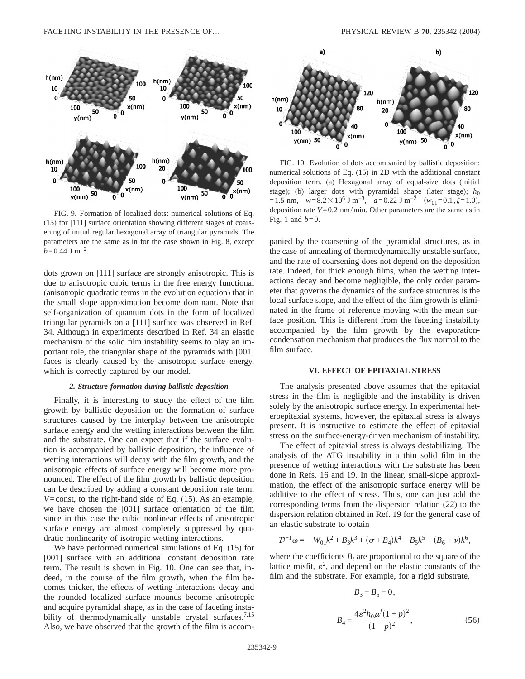

FIG. 9. Formation of localized dots: numerical solutions of Eq. (15) for [111] surface orientation showing different stages of coarsening of initial regular hexagonal array of triangular pyramids. The parameters are the same as in for the case shown in Fig. 8, except  $b$ =0.44 J m<sup>-2</sup>.

dots grown on [111] surface are strongly anisotropic. This is due to anisotropic cubic terms in the free energy functional (anisotropic quadratic terms in the evolution equation) that in the small slope approximation become dominant. Note that self-organization of quantum dots in the form of localized triangular pyramids on a [111] surface was observed in Ref. 34. Although in experiments described in Ref. 34 an elastic mechanism of the solid film instability seems to play an important role, the triangular shape of the pyramids with [001] faces is clearly caused by the anisotropic surface energy, which is correctly captured by our model.

## *2. Structure formation during ballistic deposition*

Finally, it is interesting to study the effect of the film growth by ballistic deposition on the formation of surface structures caused by the interplay between the anisotropic surface energy and the wetting interactions between the film and the substrate. One can expect that if the surface evolution is accompanied by ballistic deposition, the influence of wetting interactions will decay with the film growth, and the anisotropic effects of surface energy will become more pronounced. The effect of the film growth by ballistic deposition can be described by adding a constant deposition rate term, *V*=const, to the right-hand side of Eq. (15). As an example, we have chosen the [001] surface orientation of the film since in this case the cubic nonlinear effects of anisotropic surface energy are almost completely suppressed by quadratic nonlinearity of isotropic wetting interactions.

We have performed numerical simulations of Eq. (15) for [001] surface with an additional constant deposition rate term. The result is shown in Fig. 10. One can see that, indeed, in the course of the film growth, when the film becomes thicker, the effects of wetting interactions decay and the rounded localized surface mounds become anisotropic and acquire pyramidal shape, as in the case of faceting instability of thermodynamically unstable crystal surfaces.<sup>7,15</sup> Also, we have observed that the growth of the film is accom-



FIG. 10. Evolution of dots accompanied by ballistic deposition: numerical solutions of Eq. (15) in 2D with the additional constant deposition term. (a) Hexagonal array of equal-size dots (initial stage); (b) larger dots with pyramidal shape (later stage);  $h_0$  $=1.5$  nm,  $w=8.2\times10^6$  J m<sup>-3</sup>,  $a=0.22$  J m<sup>-2</sup>  $(w_{01}=0.1,\zeta=1.0)$ , deposition rate  $V=0.2$  nm/min. Other parameters are the same as in Fig. 1 and  $b=0$ .

panied by the coarsening of the pyramidal structures, as in the case of annealing of thermodynamically unstable surface, and the rate of coarsening does not depend on the deposition rate. Indeed, for thick enough films, when the wetting interactions decay and become negligible, the only order parameter that governs the dynamics of the surface structures is the local surface slope, and the effect of the film growth is eliminated in the frame of reference moving with the mean surface position. This is different from the faceting instability accompanied by the film growth by the evaporationcondensation mechanism that produces the flux normal to the film surface.

## **VI. EFFECT OF EPITAXIAL STRESS**

The analysis presented above assumes that the epitaxial stress in the film is negligible and the instability is driven solely by the anisotropic surface energy. In experimental heteroepitaxial systems, however, the epitaxial stress is always present. It is instructive to estimate the effect of epitaxial stress on the surface-energy-driven mechanism of instability.

The effect of epitaxial stress is always destabilizing. The analysis of the ATG instability in a thin solid film in the presence of wetting interactions with the substrate has been done in Refs. 16 and 19. In the linear, small-slope approximation, the effect of the anisotropic surface energy will be additive to the effect of stress. Thus, one can just add the corresponding terms from the dispersion relation (22) to the dispersion relation obtained in Ref. 19 for the general case of an elastic substrate to obtain

$$
\mathcal{D}^{-1}\omega = -W_{01}k^2 + B_3k^3 + (\sigma + B_4)k^4 - B_5k^5 - (B_6 + \nu)k^6,
$$

where the coefficients  $B_i$  are proportional to the square of the lattice misfit,  $\varepsilon^2$ , and depend on the elastic constants of the film and the substrate. For example, for a rigid substrate,

$$
B_3 = B_5 = 0,
$$
  

$$
B_4 = \frac{4\epsilon^2 h_0 \mu^f (1+p)^2}{(1-p)^2},
$$
 (56)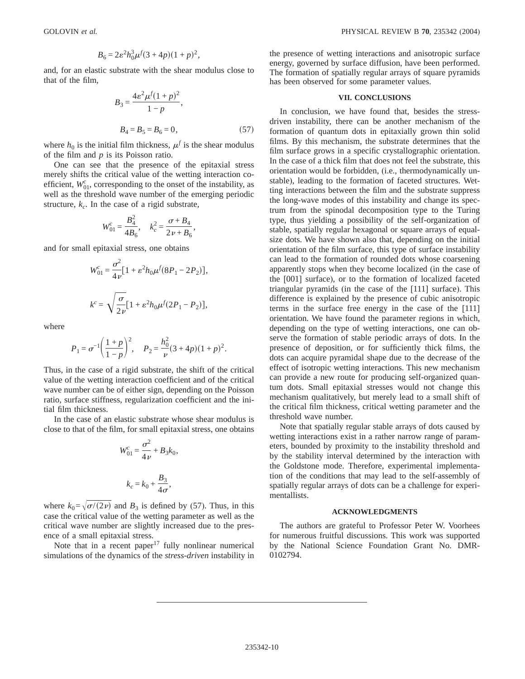$$
B_6 = 2\varepsilon^2 h_0^3 \mu^f (3 + 4p)(1 + p)^2,
$$

and, for an elastic substrate with the shear modulus close to that of the film,

$$
B_3 = \frac{4\varepsilon^2 \mu^f (1+p)^2}{1-p},
$$
  
\n
$$
B_4 = B_5 = B_6 = 0,
$$
 (57)

where  $h_0$  is the initial film thickness,  $\mu^f$  is the shear modulus of the film and *p* is its Poisson ratio.

One can see that the presence of the epitaxial stress merely shifts the critical value of the wetting interaction coefficient,  $W_{01}^c$ , corresponding to the onset of the instability, as well as the threshold wave number of the emerging periodic structure,  $k_c$ . In the case of a rigid substrate,

$$
W_{01}^c = \frac{B_4^2}{4B_6}, \quad k_c^2 = \frac{\sigma + B_4}{2\nu + B_6},
$$

and for small epitaxial stress, one obtains

$$
W_{01}^{c} = \frac{\sigma^{2}}{4 \nu} [1 + \varepsilon^{2} h_{0} \mu^{f} (8P_{1} - 2P_{2})],
$$
  

$$
k^{c} = \sqrt{\frac{\sigma}{2 \nu}} [1 + \varepsilon^{2} h_{0} \mu^{f} (2P_{1} - P_{2})],
$$

where

$$
P_1 = \sigma^{-1} \left( \frac{1+p}{1-p} \right)^2
$$
,  $P_2 = \frac{h_0^2}{\nu} (3+4p)(1+p)^2$ .

Thus, in the case of a rigid substrate, the shift of the critical value of the wetting interaction coefficient and of the critical wave number can be of either sign, depending on the Poisson ratio, surface stiffness, regularization coefficient and the initial film thickness.

In the case of an elastic substrate whose shear modulus is close to that of the film, for small epitaxial stress, one obtains

$$
W_{01}^c = \frac{\sigma^2}{4\nu} + B_3 k_0,
$$
  

$$
k_c = k_0 + \frac{B_3}{4\sigma},
$$

where  $k_0 = \sqrt{\sigma/(2\nu)}$  and  $B_3$  is defined by (57). Thus, in this case the critical value of the wetting parameter as well as the critical wave number are slightly increased due to the presence of a small epitaxial stress.

Note that in a recent paper $17$  fully nonlinear numerical simulations of the dynamics of the *stress-driven* instability in the presence of wetting interactions and anisotropic surface energy, governed by surface diffusion, have been performed. The formation of spatially regular arrays of square pyramids has been observed for some parameter values.

# **VII. CONCLUSIONS**

In conclusion, we have found that, besides the stressdriven instability, there can be another mechanism of the formation of quantum dots in epitaxially grown thin solid films. By this mechanism, the substrate determines that the film surface grows in a specific crystallographic orientation. In the case of a thick film that does not feel the substrate, this orientation would be forbidden, (i.e., thermodynamically unstable), leading to the formation of faceted structures. Wetting interactions between the film and the substrate suppress the long-wave modes of this instability and change its spectrum from the spinodal decomposition type to the Turing type, thus yielding a possibility of the self-organization of stable, spatially regular hexagonal or square arrays of equalsize dots. We have shown also that, depending on the initial orientation of the film surface, this type of surface instability can lead to the formation of rounded dots whose coarsening apparently stops when they become localized (in the case of the [001] surface), or to the formation of localized faceted triangular pyramids (in the case of the [111] surface). This difference is explained by the presence of cubic anisotropic terms in the surface free energy in the case of the [111] orientation. We have found the parameter regions in which, depending on the type of wetting interactions, one can observe the formation of stable periodic arrays of dots. In the presence of deposition, or for sufficiently thick films, the dots can acquire pyramidal shape due to the decrease of the effect of isotropic wetting interactions. This new mechanism can provide a new route for producing self-organized quantum dots. Small epitaxial stresses would not change this mechanism qualitatively, but merely lead to a small shift of the critical film thickness, critical wetting parameter and the threshold wave number.

Note that spatially regular stable arrays of dots caused by wetting interactions exist in a rather narrow range of parameters, bounded by proximity to the instability threshold and by the stability interval determined by the interaction with the Goldstone mode. Therefore, experimental implementation of the conditions that may lead to the self-assembly of spatially regular arrays of dots can be a challenge for experimentallists.

#### **ACKNOWLEDGMENTS**

The authors are grateful to Professor Peter W. Voorhees for numerous fruitful discussions. This work was supported by the National Science Foundation Grant No. DMR-0102794.